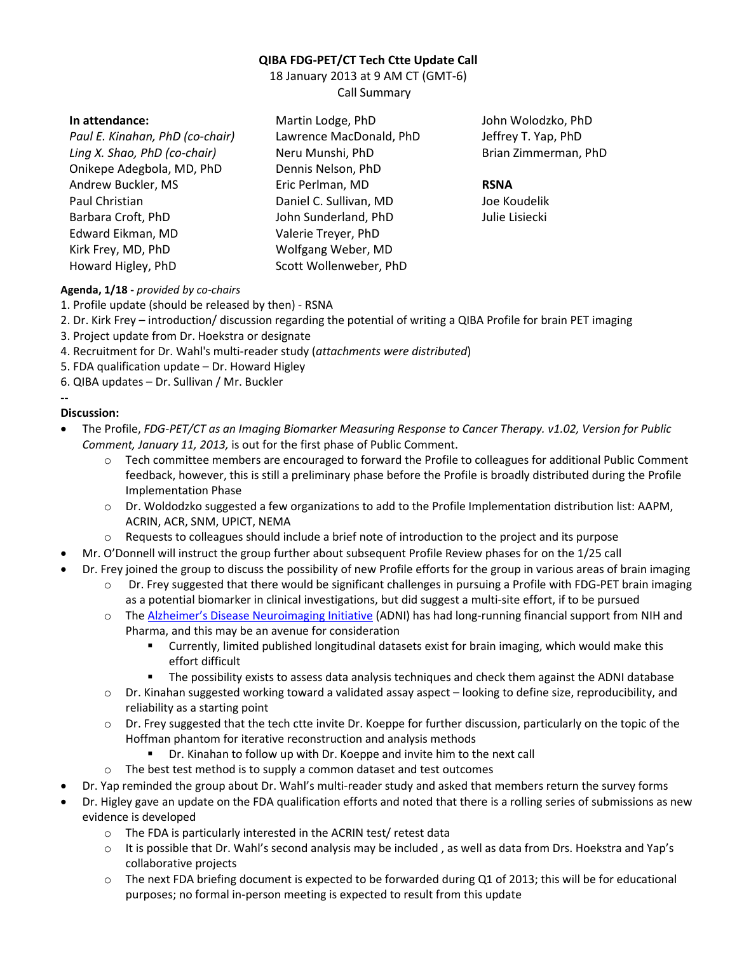# **QIBA FDG-PET/CT Tech Ctte Update Call**

18 January 2013 at 9 AM CT (GMT-6) Call Summary

#### **In attendance:**

*Paul E. Kinahan, PhD (co-chair) Ling X. Shao, PhD (co-chair)*  Onikepe Adegbola, MD, PhD Andrew Buckler, MS Paul Christian Barbara Croft, PhD Edward Eikman, MD Kirk Frey, MD, PhD Howard Higley, PhD

Martin Lodge, PhD Lawrence MacDonald, PhD Neru Munshi, PhD Dennis Nelson, PhD Eric Perlman, MD Daniel C. Sullivan, MD John Sunderland, PhD Valerie Treyer, PhD Wolfgang Weber, MD Scott Wollenweber, PhD

John Wolodzko, PhD Jeffrey T. Yap, PhD Brian Zimmerman, PhD

#### **RSNA**

Joe Koudelik Julie Lisiecki

# **Agenda, 1/18 -** *provided by co-chairs*

- 1. Profile update (should be released by then) RSNA
- 2. Dr. Kirk Frey introduction/ discussion regarding the potential of writing a QIBA Profile for brain PET imaging
- 3. Project update from Dr. Hoekstra or designate
- 4. Recruitment for Dr. Wahl's multi-reader study (*attachments were distributed*)
- 5. FDA qualification update Dr. Howard Higley
- 6. QIBA updates Dr. Sullivan / Mr. Buckler

# **Discussion:**

**--** 

- The Profile, *FDG-PET/CT as an Imaging Biomarker Measuring Response to Cancer Therapy. v1.02, Version for Public Comment, January 11, 2013,* is out for the first phase of Public Comment.
	- o Tech committee members are encouraged to forward the Profile to colleagues for additional Public Comment feedback, however, this is still a preliminary phase before the Profile is broadly distributed during the Profile Implementation Phase
	- o Dr. Woldodzko suggested a few organizations to add to the Profile Implementation distribution list: AAPM, ACRIN, ACR, SNM, UPICT, NEMA
	- o Requests to colleagues should include a brief note of introduction to the project and its purpose
- Mr. O'Donnell will instruct the group further about subsequent Profile Review phases for on the 1/25 call
	- Dr. Frey joined the group to discuss the possibility of new Profile efforts for the group in various areas of brain imaging
		- $\circ$  Dr. Frey suggested that there would be significant challenges in pursuing a Profile with FDG-PET brain imaging as a potential biomarker in clinical investigations, but did suggest a multi-site effort, if to be pursued
		- o The Alzheimer's Disease Neuroimaging Initiative (ADNI) has had long-running financial support from NIH and Pharma, and this may be an avenue for consideration
			- Currently, limited published longitudinal datasets exist for brain imaging, which would make this effort difficult
			- The possibility exists to assess data analysis techniques and check them against the ADNI database
		- o Dr. Kinahan suggested working toward a validated assay aspect looking to define size, reproducibility, and reliability as a starting point
		- $\circ$  Dr. Frey suggested that the tech ctte invite Dr. Koeppe for further discussion, particularly on the topic of the Hoffman phantom for iterative reconstruction and analysis methods
			- Dr. Kinahan to follow up with Dr. Koeppe and invite him to the next call
		- $\circ$  The best test method is to supply a common dataset and test outcomes
- Dr. Yap reminded the group about Dr. Wahl's multi-reader study and asked that members return the survey forms
- Dr. Higley gave an update on the FDA qualification efforts and noted that there is a rolling series of submissions as new evidence is developed
	- o The FDA is particularly interested in the ACRIN test/ retest data
	- o It is possible that Dr. Wahl's second analysis may be included , as well as data from Drs. Hoekstra and Yap's collaborative projects
	- o The next FDA briefing document is expected to be forwarded during Q1 of 2013; this will be for educational purposes; no formal in-person meeting is expected to result from this update